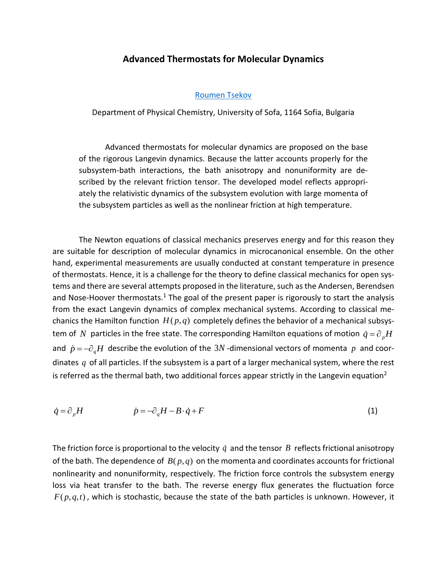## **Advanced Thermostats for Molecular Dynamics**

[Roumen Tsekov](https://orcid.org/0000-0002-6340-3531)

Department of Physical Chemistry, University of Sofa, 1164 Sofia, Bulgaria

Advanced thermostats for molecular dynamics are proposed on the base of the rigorous Langevin dynamics. Because the latter accounts properly for the subsystem-bath interactions, the bath anisotropy and nonuniformity are described by the relevant friction tensor. The developed model reflects appropriately the relativistic dynamics of the subsystem evolution with large momenta of the subsystem particles as well as the nonlinear friction at high temperature.

The Newton equations of classical mechanics preserves energy and for this reason they are suitable for description of molecular dynamics in microcanonical ensemble. On the other hand, experimental measurements are usually conducted at constant temperature in presence of thermostats. Hence, it is a challenge for the theory to define classical mechanics for open systems and there are several attempts proposed in the literature, such as the Andersen, Berendsen and Nose-Hoover thermostats.<sup>1</sup> The goal of the present paper is rigorously to start the analysis from the exact Langevin dynamics of complex mechanical systems. According to classical mechanics the Hamilton function  $H(p,q)$  completely defines the behavior of a mechanical subsystem of  $N$  particles in the free state. The corresponding Hamilton equations of motion  $\dot{q} = \partial_{p}H$ and  $\dot{p} = -\partial_q H$  describe the evolution of the 3N -dimensional vectors of momenta p and coordinates *q* of all particles. If the subsystem is a part of a larger mechanical system, where the rest is referred as the thermal bath, two additional forces appear strictly in the Langevin equation<sup>2</sup>

$$
\dot{q} = \partial_p H \qquad \dot{p} = -\partial_q H - B \cdot \dot{q} + F \tag{1}
$$

The friction force is proportional to the velocity  $\dot{q}$  and the tensor  $B$  reflects frictional anisotropy of the bath. The dependence of  $B(p,q)$  on the momenta and coordinates accounts for frictional nonlinearity and nonuniformity, respectively. The friction force controls the subsystem energy loss via heat transfer to the bath. The reverse energy flux generates the fluctuation force  $F(p,q,t)$ , which is stochastic, because the state of the bath particles is unknown. However, it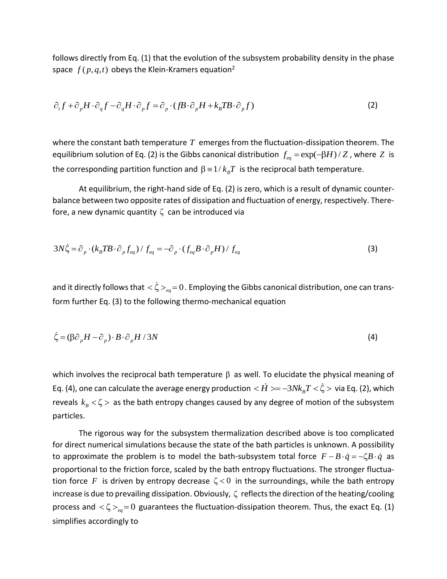follows directly from Eq. (1) that the evolution of the subsystem probability density in the phase space  $f(p,q,t)$  obeys the Klein-Kramers equation<sup>2</sup>

$$
\partial_t f + \partial_p H \cdot \partial_q f - \partial_q H \cdot \partial_p f = \partial_p \cdot (f \mathbf{B} \cdot \partial_p H + k_B T \mathbf{B} \cdot \partial_p f) \tag{2}
$$

where the constant bath temperature  $T$  emerges from the fluctuation-dissipation theorem. The equilibrium solution of Eq. (2) is the Gibbs canonical distribution  $f_{eq} = \exp(-\beta H)/Z$  , where  $Z$  is the corresponding partition function and  $\beta = 1/\, k_{_B} T\,$  is the reciprocal bath temperature.

At equilibrium, the right-hand side of Eq. (2) is zero, which is a result of dynamic counterbalance between two opposite rates of dissipation and fluctuation of energy, respectively. Therefore, a new dynamic quantity  $\zeta$  can be introduced via

$$
3N\dot{\zeta} = \partial_p \cdot (k_B T B \cdot \partial_p f_{eq}) / f_{eq} = -\partial_p \cdot (f_{eq} B \cdot \partial_p H) / f_{eq}
$$
 (3)

and it directly follows that  $<\!\zeta\!>_{_{eq}}=0$  . Employing the Gibbs canonical distribution, one can transform further Eq. (3) to the following thermo-mechanical equation

$$
\dot{\zeta} = (\beta \partial_p H - \partial_p) \cdot B \cdot \partial_p H / 3N \tag{4}
$$

which involves the reciprocal bath temperature  $\beta$  as well. To elucidate the physical meaning of Eq. (4), one can calculate the average energy production  $<\! H>=\!-3Nk_{_B}\! T\! <\! \zeta \!>$  via Eq. (2), which reveals  $k_{\rm B}$   $\lt$   $\zeta$  > as the bath entropy changes caused by any degree of motion of the subsystem particles.

The rigorous way for the subsystem thermalization described above is too complicated for direct numerical simulations because the state of the bath particles is unknown. A possibility to approximate the problem is to model the bath-subsystem total force  $F - B \cdot \dot{q} = -\zeta B \cdot \dot{q}$  as proportional to the friction force, scaled by the bath entropy fluctuations. The stronger fluctuation force  $F$  is driven by entropy decrease  $\zeta \lt 0$  in the surroundings, while the bath entropy increase is due to prevailing dissipation. Obviously,  $\zeta$  reflects the direction of the heating/cooling process and  $\langle \zeta>_{_{eq}}=0$  guarantees the fluctuation-dissipation theorem. Thus, the exact Eq. (1) simplifies accordingly to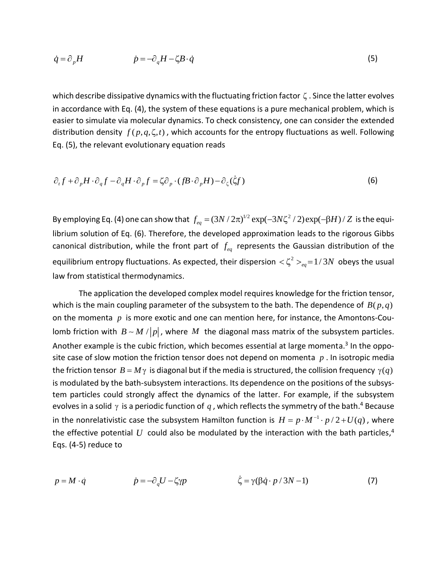$$
\dot{q} = \partial_p H \qquad \dot{p} = -\partial_q H - \zeta B \cdot \dot{q} \tag{5}
$$

which describe dissipative dynamics with the fluctuating friction factor  $\zeta$  . Since the latter evolves in accordance with Eq. (4), the system of these equations is a pure mechanical problem, which is easier to simulate via molecular dynamics. To check consistency, one can consider the extended distribution density  $f(p,q,\zeta,t)$ , which accounts for the entropy fluctuations as well. Following Eq. (5), the relevant evolutionary equation reads

$$
\partial_{\iota} f + \partial_{\rho} H \cdot \partial_{q} f - \partial_{q} H \cdot \partial_{\rho} f = \zeta \partial_{\rho} \cdot (f \mathcal{B} \cdot \partial_{\rho} H) - \partial_{\zeta} (\zeta f) \tag{6}
$$

By employing Eq. (4) one can show that  $f_{eq} = (3N\,/\,2\pi)^{1/2}\exp(-3N\zeta^2\,/\,2)\exp(-\beta H)\,/\,Z\,$  is the equilibrium solution of Eq. (6). Therefore, the developed approximation leads to the rigorous Gibbs canonical distribution, while the front part of  $f_{eq}$  represents the Gaussian distribution of the equilibrium entropy fluctuations. As expected, their dispersion  $<\zeta^2>_{eq}=1/\sqrt{3}N$  obeys the usual law from statistical thermodynamics.

The application the developed complex model requires knowledge for the friction tensor, which is the main coupling parameter of the subsystem to the bath. The dependence of  $B(p,q)$ on the momenta  $\,p\,$  is more exotic and one can mention here, for instance, the Amontons-Coulomb friction with  $B \sim M / |p|$ , where  $M$  the diagonal mass matrix of the subsystem particles. Another example is the cubic friction, which becomes essential at large momenta.<sup>3</sup> In the opposite case of slow motion the friction tensor does not depend on momenta *p* . In isotropic media the friction tensor  $B = M\gamma$  is diagonal but if the media is structured, the collision frequency  $\gamma(q)$ is modulated by the bath-subsystem interactions. Its dependence on the positions of the subsystem particles could strongly affect the dynamics of the latter. For example, if the subsystem evolves in a solid  $\gamma$  is a periodic function of  $q$  , which reflects the symmetry of the bath.<sup>4</sup> Because in the nonrelativistic case the subsystem Hamilton function is  $H = p \cdot M^{-1} \cdot p / 2 + U(q)$  , where the effective potential  $U$  could also be modulated by the interaction with the bath particles,<sup>4</sup> Eqs. (4-5) reduce to

$$
p = M \cdot \dot{q} \qquad \qquad \dot{p} = -\partial_q U - \zeta \gamma p \qquad \qquad \zeta = \gamma (\beta \dot{q} \cdot p / 3N - 1) \tag{7}
$$